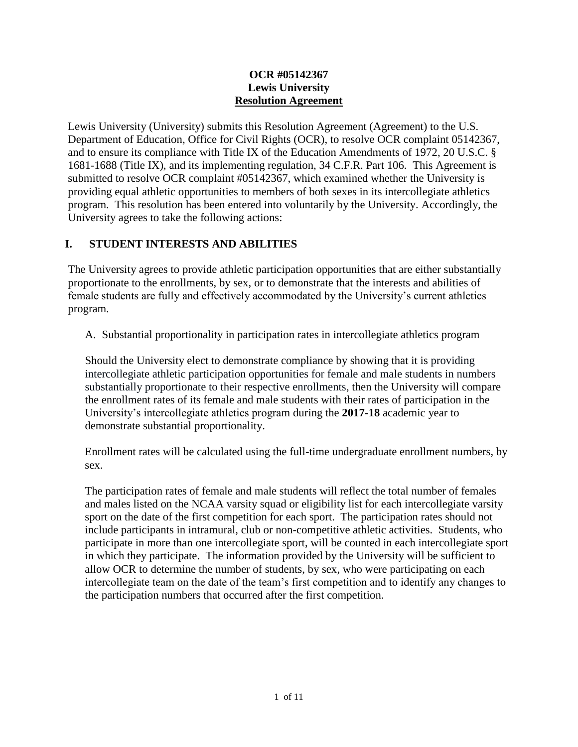### **OCR #05142367 Lewis University Resolution Agreement**

Lewis University (University) submits this Resolution Agreement (Agreement) to the U.S. Department of Education, Office for Civil Rights (OCR), to resolve OCR complaint 05142367, and to ensure its compliance with Title IX of the Education Amendments of 1972, 20 U.S.C. § 1681-1688 (Title IX), and its implementing regulation, 34 C.F.R. Part 106. This Agreement is submitted to resolve OCR complaint #05142367, which examined whether the University is providing equal athletic opportunities to members of both sexes in its intercollegiate athletics program. This resolution has been entered into voluntarily by the University. Accordingly, the University agrees to take the following actions:

## **I. STUDENT INTERESTS AND ABILITIES**

The University agrees to provide athletic participation opportunities that are either substantially proportionate to the enrollments, by sex, or to demonstrate that the interests and abilities of female students are fully and effectively accommodated by the University's current athletics program.

A. Substantial proportionality in participation rates in intercollegiate athletics program

Should the University elect to demonstrate compliance by showing that it is providing intercollegiate athletic participation opportunities for female and male students in numbers substantially proportionate to their respective enrollments, then the University will compare the enrollment rates of its female and male students with their rates of participation in the University's intercollegiate athletics program during the **2017-18** academic year to demonstrate substantial proportionality.

Enrollment rates will be calculated using the full-time undergraduate enrollment numbers, by sex.

The participation rates of female and male students will reflect the total number of females and males listed on the NCAA varsity squad or eligibility list for each intercollegiate varsity sport on the date of the first competition for each sport. The participation rates should not include participants in intramural, club or non-competitive athletic activities. Students, who participate in more than one intercollegiate sport, will be counted in each intercollegiate sport in which they participate. The information provided by the University will be sufficient to allow OCR to determine the number of students, by sex, who were participating on each intercollegiate team on the date of the team's first competition and to identify any changes to the participation numbers that occurred after the first competition.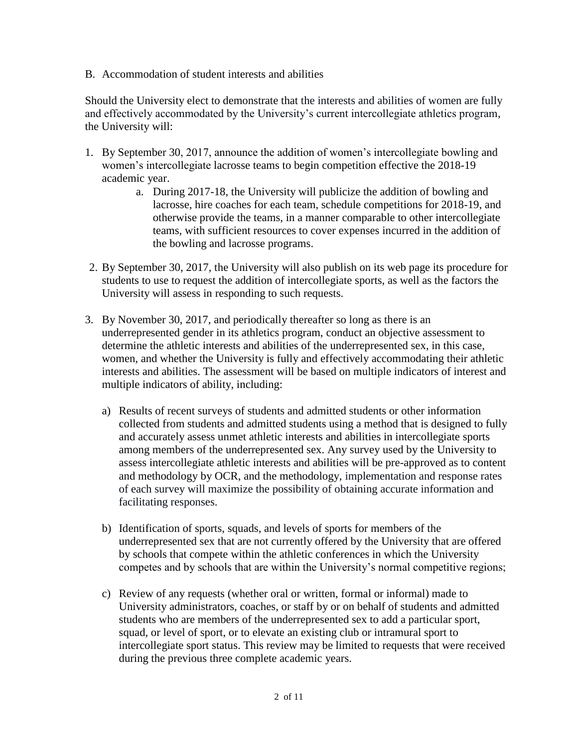B. Accommodation of student interests and abilities

Should the University elect to demonstrate that the interests and abilities of women are fully and effectively accommodated by the University's current intercollegiate athletics program, the University will:

- 1. By September 30, 2017, announce the addition of women's intercollegiate bowling and women's intercollegiate lacrosse teams to begin competition effective the 2018-19 academic year.
	- a. During 2017-18, the University will publicize the addition of bowling and lacrosse, hire coaches for each team, schedule competitions for 2018-19, and otherwise provide the teams, in a manner comparable to other intercollegiate teams, with sufficient resources to cover expenses incurred in the addition of the bowling and lacrosse programs.
- 2. By September 30, 2017, the University will also publish on its web page its procedure for students to use to request the addition of intercollegiate sports, as well as the factors the University will assess in responding to such requests.
- 3. By November 30, 2017, and periodically thereafter so long as there is an underrepresented gender in its athletics program, conduct an objective assessment to determine the athletic interests and abilities of the underrepresented sex, in this case, women, and whether the University is fully and effectively accommodating their athletic interests and abilities. The assessment will be based on multiple indicators of interest and multiple indicators of ability, including:
	- a) Results of recent surveys of students and admitted students or other information collected from students and admitted students using a method that is designed to fully and accurately assess unmet athletic interests and abilities in intercollegiate sports among members of the underrepresented sex. Any survey used by the University to assess intercollegiate athletic interests and abilities will be pre-approved as to content and methodology by OCR, and the methodology, implementation and response rates of each survey will maximize the possibility of obtaining accurate information and facilitating responses.
	- b) Identification of sports, squads, and levels of sports for members of the underrepresented sex that are not currently offered by the University that are offered by schools that compete within the athletic conferences in which the University competes and by schools that are within the University's normal competitive regions;
	- c) Review of any requests (whether oral or written, formal or informal) made to University administrators, coaches, or staff by or on behalf of students and admitted students who are members of the underrepresented sex to add a particular sport, squad, or level of sport, or to elevate an existing club or intramural sport to intercollegiate sport status. This review may be limited to requests that were received during the previous three complete academic years.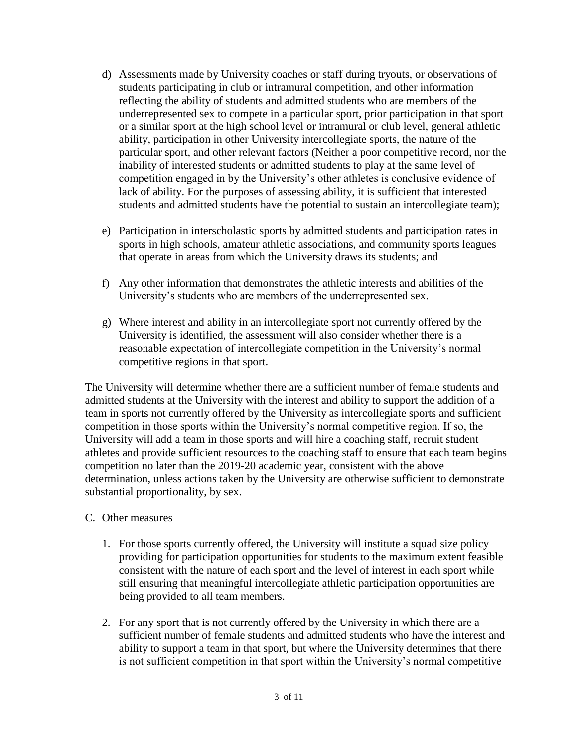- d) Assessments made by University coaches or staff during tryouts, or observations of students participating in club or intramural competition, and other information reflecting the ability of students and admitted students who are members of the underrepresented sex to compete in a particular sport, prior participation in that sport or a similar sport at the high school level or intramural or club level, general athletic ability, participation in other University intercollegiate sports, the nature of the particular sport, and other relevant factors (Neither a poor competitive record, nor the inability of interested students or admitted students to play at the same level of competition engaged in by the University's other athletes is conclusive evidence of lack of ability. For the purposes of assessing ability, it is sufficient that interested students and admitted students have the potential to sustain an intercollegiate team);
- e) Participation in interscholastic sports by admitted students and participation rates in sports in high schools, amateur athletic associations, and community sports leagues that operate in areas from which the University draws its students; and
- f) Any other information that demonstrates the athletic interests and abilities of the University's students who are members of the underrepresented sex.
- g) Where interest and ability in an intercollegiate sport not currently offered by the University is identified, the assessment will also consider whether there is a reasonable expectation of intercollegiate competition in the University's normal competitive regions in that sport.

The University will determine whether there are a sufficient number of female students and admitted students at the University with the interest and ability to support the addition of a team in sports not currently offered by the University as intercollegiate sports and sufficient competition in those sports within the University's normal competitive region. If so, the University will add a team in those sports and will hire a coaching staff, recruit student athletes and provide sufficient resources to the coaching staff to ensure that each team begins competition no later than the 2019-20 academic year, consistent with the above determination, unless actions taken by the University are otherwise sufficient to demonstrate substantial proportionality, by sex.

- C. Other measures
	- 1. For those sports currently offered, the University will institute a squad size policy providing for participation opportunities for students to the maximum extent feasible consistent with the nature of each sport and the level of interest in each sport while still ensuring that meaningful intercollegiate athletic participation opportunities are being provided to all team members.
	- 2. For any sport that is not currently offered by the University in which there are a sufficient number of female students and admitted students who have the interest and ability to support a team in that sport, but where the University determines that there is not sufficient competition in that sport within the University's normal competitive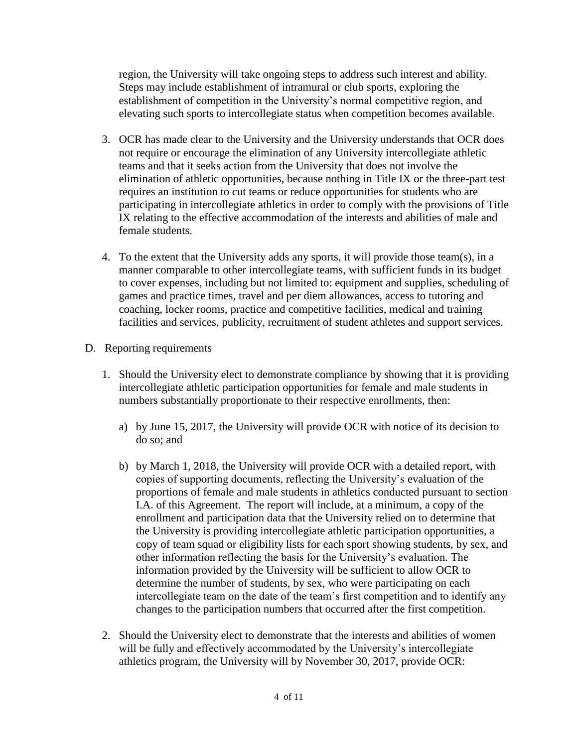region, the University will take ongoing steps to address such interest and ability. Steps may include establishment of intramural or club sports, exploring the establishment of competition in the University's normal competitive region, and elevating such sports to intercollegiate status when competition becomes available.

- 3. OCR has made clear to the University and the University understands that OCR does not require or encourage the elimination of any University intercollegiate athletic teams and that it seeks action from the University that does not involve the elimination of athletic opportunities, because nothing in Title IX or the three-part test requires an institution to cut teams or reduce opportunities for students who are participating in intercollegiate athletics in order to comply with the provisions of Title IX relating to the effective accommodation of the interests and abilities of male and female students.
- 4. To the extent that the University adds any sports, it will provide those team(s), in a manner comparable to other intercollegiate teams, with sufficient funds in its budget to cover expenses, including but not limited to: equipment and supplies, scheduling of games and practice times, travel and per diem allowances, access to tutoring and coaching, locker rooms, practice and competitive facilities, medical and training facilities and services, publicity, recruitment of student athletes and support services.
- D. Reporting requirements
	- 1. Should the University elect to demonstrate compliance by showing that it is providing intercollegiate athletic participation opportunities for female and male students in numbers substantially proportionate to their respective enrollments, then:
		- a) by June 15, 2017, the University will provide OCR with notice of its decision to do so; and
		- b) by March 1, 2018, the University will provide OCR with a detailed report, with copies of supporting documents, reflecting the University's evaluation of the proportions of female and male students in athletics conducted pursuant to section I.A. of this Agreement. The report will include, at a minimum, a copy of the enrollment and participation data that the University relied on to determine that the University is providing intercollegiate athletic participation opportunities, a copy of team squad or eligibility lists for each sport showing students, by sex, and other information reflecting the basis for the University's evaluation. The information provided by the University will be sufficient to allow OCR to determine the number of students, by sex, who were participating on each intercollegiate team on the date of the team's first competition and to identify any changes to the participation numbers that occurred after the first competition.
	- 2. Should the University elect to demonstrate that the interests and abilities of women will be fully and effectively accommodated by the University's intercollegiate athletics program, the University will by November 30, 2017, provide OCR: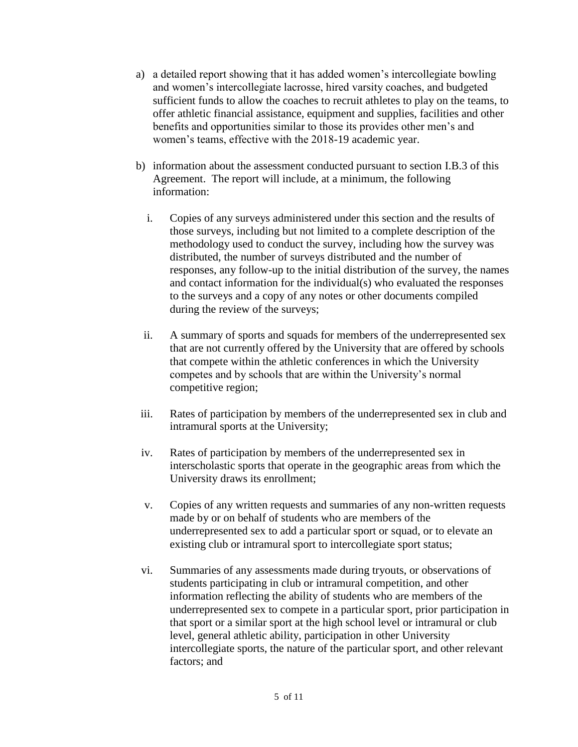- a) a detailed report showing that it has added women's intercollegiate bowling and women's intercollegiate lacrosse, hired varsity coaches, and budgeted sufficient funds to allow the coaches to recruit athletes to play on the teams, to offer athletic financial assistance, equipment and supplies, facilities and other benefits and opportunities similar to those its provides other men's and women's teams, effective with the 2018-19 academic year.
- b) information about the assessment conducted pursuant to section I.B.3 of this Agreement. The report will include, at a minimum, the following information:
	- i. Copies of any surveys administered under this section and the results of those surveys, including but not limited to a complete description of the methodology used to conduct the survey, including how the survey was distributed, the number of surveys distributed and the number of responses, any follow-up to the initial distribution of the survey, the names and contact information for the individual(s) who evaluated the responses to the surveys and a copy of any notes or other documents compiled during the review of the surveys;
	- ii. A summary of sports and squads for members of the underrepresented sex that are not currently offered by the University that are offered by schools that compete within the athletic conferences in which the University competes and by schools that are within the University's normal competitive region;
- iii. Rates of participation by members of the underrepresented sex in club and intramural sports at the University;
- iv. Rates of participation by members of the underrepresented sex in interscholastic sports that operate in the geographic areas from which the University draws its enrollment;
- v. Copies of any written requests and summaries of any non-written requests made by or on behalf of students who are members of the underrepresented sex to add a particular sport or squad, or to elevate an existing club or intramural sport to intercollegiate sport status;
- vi. Summaries of any assessments made during tryouts, or observations of students participating in club or intramural competition, and other information reflecting the ability of students who are members of the underrepresented sex to compete in a particular sport, prior participation in that sport or a similar sport at the high school level or intramural or club level, general athletic ability, participation in other University intercollegiate sports, the nature of the particular sport, and other relevant factors; and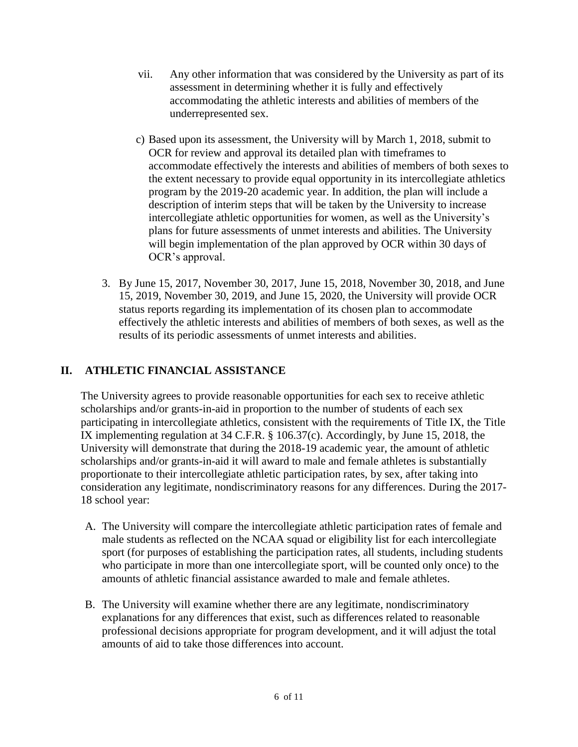- vii. Any other information that was considered by the University as part of its assessment in determining whether it is fully and effectively accommodating the athletic interests and abilities of members of the underrepresented sex.
- c) Based upon its assessment, the University will by March 1, 2018, submit to OCR for review and approval its detailed plan with timeframes to accommodate effectively the interests and abilities of members of both sexes to the extent necessary to provide equal opportunity in its intercollegiate athletics program by the 2019-20 academic year. In addition, the plan will include a description of interim steps that will be taken by the University to increase intercollegiate athletic opportunities for women, as well as the University's plans for future assessments of unmet interests and abilities. The University will begin implementation of the plan approved by OCR within 30 days of OCR's approval.
- 3. By June 15, 2017, November 30, 2017, June 15, 2018, November 30, 2018, and June 15, 2019, November 30, 2019, and June 15, 2020, the University will provide OCR status reports regarding its implementation of its chosen plan to accommodate effectively the athletic interests and abilities of members of both sexes, as well as the results of its periodic assessments of unmet interests and abilities.

## **II. ATHLETIC FINANCIAL ASSISTANCE**

The University agrees to provide reasonable opportunities for each sex to receive athletic scholarships and/or grants-in-aid in proportion to the number of students of each sex participating in intercollegiate athletics, consistent with the requirements of Title IX, the Title IX implementing regulation at 34 C.F.R. § 106.37(c). Accordingly, by June 15, 2018, the University will demonstrate that during the 2018-19 academic year, the amount of athletic scholarships and/or grants-in-aid it will award to male and female athletes is substantially proportionate to their intercollegiate athletic participation rates, by sex, after taking into consideration any legitimate, nondiscriminatory reasons for any differences. During the 2017- 18 school year:

- A. The University will compare the intercollegiate athletic participation rates of female and male students as reflected on the NCAA squad or eligibility list for each intercollegiate sport (for purposes of establishing the participation rates, all students, including students who participate in more than one intercollegiate sport, will be counted only once) to the amounts of athletic financial assistance awarded to male and female athletes.
- B. The University will examine whether there are any legitimate, nondiscriminatory explanations for any differences that exist, such as differences related to reasonable professional decisions appropriate for program development, and it will adjust the total amounts of aid to take those differences into account.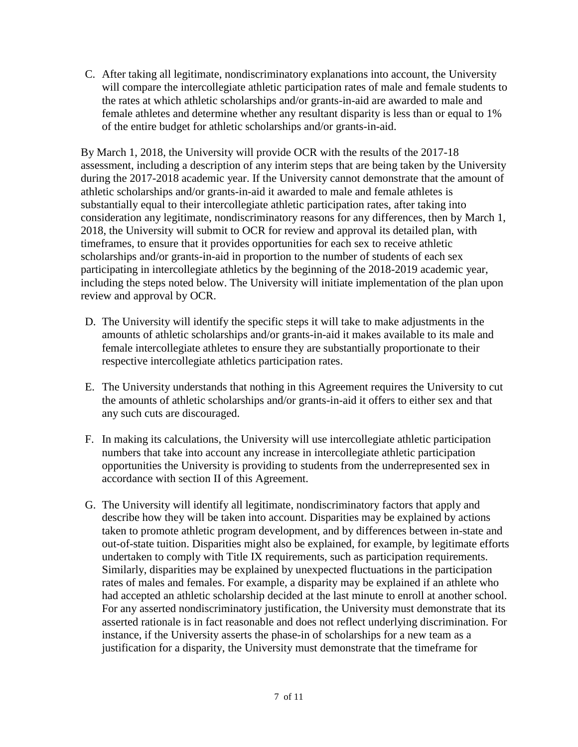C. After taking all legitimate, nondiscriminatory explanations into account, the University will compare the intercollegiate athletic participation rates of male and female students to the rates at which athletic scholarships and/or grants-in-aid are awarded to male and female athletes and determine whether any resultant disparity is less than or equal to 1% of the entire budget for athletic scholarships and/or grants-in-aid.

By March 1, 2018, the University will provide OCR with the results of the 2017-18 assessment, including a description of any interim steps that are being taken by the University during the 2017-2018 academic year. If the University cannot demonstrate that the amount of athletic scholarships and/or grants-in-aid it awarded to male and female athletes is substantially equal to their intercollegiate athletic participation rates, after taking into consideration any legitimate, nondiscriminatory reasons for any differences, then by March 1, 2018, the University will submit to OCR for review and approval its detailed plan, with timeframes, to ensure that it provides opportunities for each sex to receive athletic scholarships and/or grants-in-aid in proportion to the number of students of each sex participating in intercollegiate athletics by the beginning of the 2018-2019 academic year, including the steps noted below. The University will initiate implementation of the plan upon review and approval by OCR.

- D. The University will identify the specific steps it will take to make adjustments in the amounts of athletic scholarships and/or grants-in-aid it makes available to its male and female intercollegiate athletes to ensure they are substantially proportionate to their respective intercollegiate athletics participation rates.
- E. The University understands that nothing in this Agreement requires the University to cut the amounts of athletic scholarships and/or grants-in-aid it offers to either sex and that any such cuts are discouraged.
- F. In making its calculations, the University will use intercollegiate athletic participation numbers that take into account any increase in intercollegiate athletic participation opportunities the University is providing to students from the underrepresented sex in accordance with section II of this Agreement.
- G. The University will identify all legitimate, nondiscriminatory factors that apply and describe how they will be taken into account. Disparities may be explained by actions taken to promote athletic program development, and by differences between in-state and out-of-state tuition. Disparities might also be explained, for example, by legitimate efforts undertaken to comply with Title IX requirements, such as participation requirements. Similarly, disparities may be explained by unexpected fluctuations in the participation rates of males and females. For example, a disparity may be explained if an athlete who had accepted an athletic scholarship decided at the last minute to enroll at another school. For any asserted nondiscriminatory justification, the University must demonstrate that its asserted rationale is in fact reasonable and does not reflect underlying discrimination. For instance, if the University asserts the phase-in of scholarships for a new team as a justification for a disparity, the University must demonstrate that the timeframe for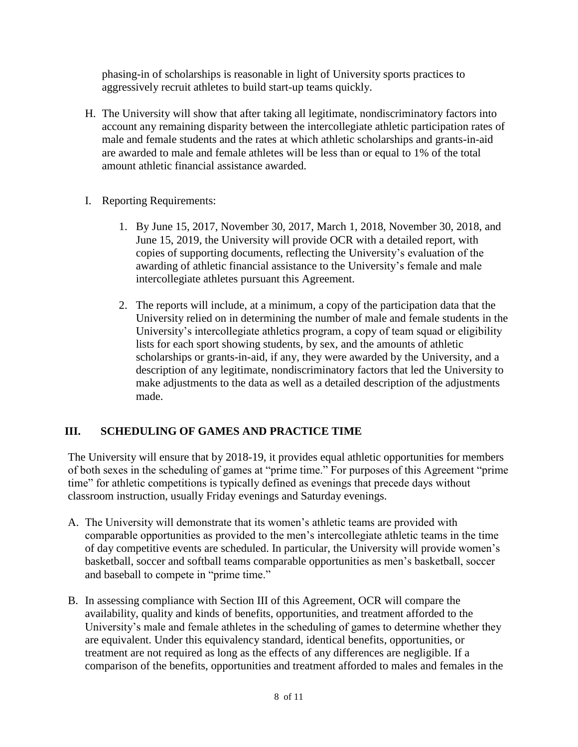phasing-in of scholarships is reasonable in light of University sports practices to aggressively recruit athletes to build start-up teams quickly.

- H. The University will show that after taking all legitimate, nondiscriminatory factors into account any remaining disparity between the intercollegiate athletic participation rates of male and female students and the rates at which athletic scholarships and grants-in-aid are awarded to male and female athletes will be less than or equal to 1% of the total amount athletic financial assistance awarded.
- I. Reporting Requirements:
	- 1. By June 15, 2017, November 30, 2017, March 1, 2018, November 30, 2018, and June 15, 2019, the University will provide OCR with a detailed report, with copies of supporting documents, reflecting the University's evaluation of the awarding of athletic financial assistance to the University's female and male intercollegiate athletes pursuant this Agreement.
	- 2. The reports will include, at a minimum, a copy of the participation data that the University relied on in determining the number of male and female students in the University's intercollegiate athletics program, a copy of team squad or eligibility lists for each sport showing students, by sex, and the amounts of athletic scholarships or grants-in-aid, if any, they were awarded by the University, and a description of any legitimate, nondiscriminatory factors that led the University to make adjustments to the data as well as a detailed description of the adjustments made.

# **III. SCHEDULING OF GAMES AND PRACTICE TIME**

The University will ensure that by 2018-19, it provides equal athletic opportunities for members of both sexes in the scheduling of games at "prime time." For purposes of this Agreement "prime time" for athletic competitions is typically defined as evenings that precede days without classroom instruction, usually Friday evenings and Saturday evenings.

- A. The University will demonstrate that its women's athletic teams are provided with comparable opportunities as provided to the men's intercollegiate athletic teams in the time of day competitive events are scheduled. In particular, the University will provide women's basketball, soccer and softball teams comparable opportunities as men's basketball, soccer and baseball to compete in "prime time."
- B. In assessing compliance with Section III of this Agreement, OCR will compare the availability, quality and kinds of benefits, opportunities, and treatment afforded to the University's male and female athletes in the scheduling of games to determine whether they are equivalent. Under this equivalency standard, identical benefits, opportunities, or treatment are not required as long as the effects of any differences are negligible. If a comparison of the benefits, opportunities and treatment afforded to males and females in the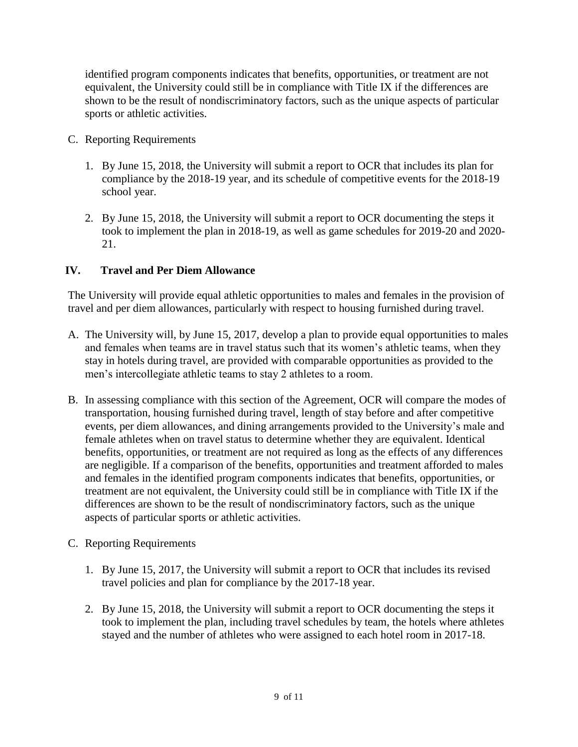identified program components indicates that benefits, opportunities, or treatment are not equivalent, the University could still be in compliance with Title IX if the differences are shown to be the result of nondiscriminatory factors, such as the unique aspects of particular sports or athletic activities.

- C. Reporting Requirements
	- 1. By June 15, 2018, the University will submit a report to OCR that includes its plan for compliance by the 2018-19 year, and its schedule of competitive events for the 2018-19 school year.
	- 2. By June 15, 2018, the University will submit a report to OCR documenting the steps it took to implement the plan in 2018-19, as well as game schedules for 2019-20 and 2020- 21.

### **IV. Travel and Per Diem Allowance**

The University will provide equal athletic opportunities to males and females in the provision of travel and per diem allowances, particularly with respect to housing furnished during travel.

- A. The University will, by June 15, 2017, develop a plan to provide equal opportunities to males and females when teams are in travel status such that its women's athletic teams, when they stay in hotels during travel, are provided with comparable opportunities as provided to the men's intercollegiate athletic teams to stay 2 athletes to a room.
- B. In assessing compliance with this section of the Agreement, OCR will compare the modes of transportation, housing furnished during travel, length of stay before and after competitive events, per diem allowances, and dining arrangements provided to the University's male and female athletes when on travel status to determine whether they are equivalent. Identical benefits, opportunities, or treatment are not required as long as the effects of any differences are negligible. If a comparison of the benefits, opportunities and treatment afforded to males and females in the identified program components indicates that benefits, opportunities, or treatment are not equivalent, the University could still be in compliance with Title IX if the differences are shown to be the result of nondiscriminatory factors, such as the unique aspects of particular sports or athletic activities.
- C. Reporting Requirements
	- 1. By June 15, 2017, the University will submit a report to OCR that includes its revised travel policies and plan for compliance by the 2017-18 year.
	- 2. By June 15, 2018, the University will submit a report to OCR documenting the steps it took to implement the plan, including travel schedules by team, the hotels where athletes stayed and the number of athletes who were assigned to each hotel room in 2017-18.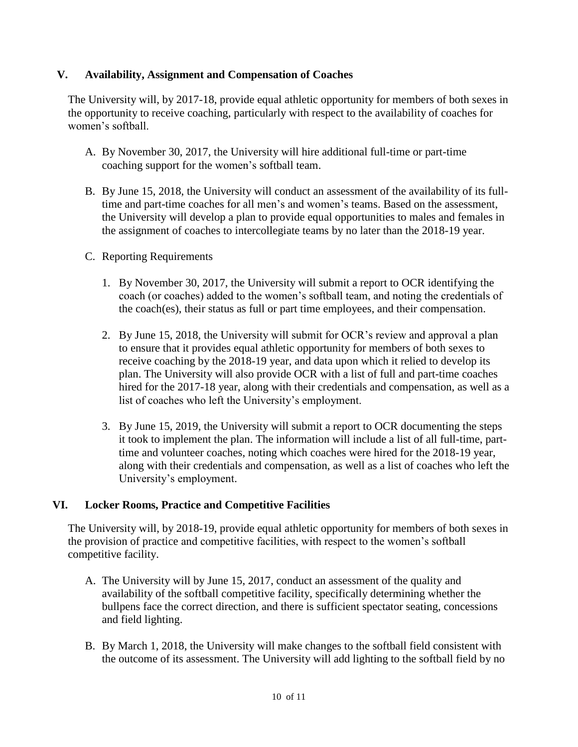### **V. Availability, Assignment and Compensation of Coaches**

The University will, by 2017-18, provide equal athletic opportunity for members of both sexes in the opportunity to receive coaching, particularly with respect to the availability of coaches for women's softball.

- A. By November 30, 2017, the University will hire additional full-time or part-time coaching support for the women's softball team.
- B. By June 15, 2018, the University will conduct an assessment of the availability of its fulltime and part-time coaches for all men's and women's teams. Based on the assessment, the University will develop a plan to provide equal opportunities to males and females in the assignment of coaches to intercollegiate teams by no later than the 2018-19 year.
- C. Reporting Requirements
	- 1. By November 30, 2017, the University will submit a report to OCR identifying the coach (or coaches) added to the women's softball team, and noting the credentials of the coach(es), their status as full or part time employees, and their compensation.
	- 2. By June 15, 2018, the University will submit for OCR's review and approval a plan to ensure that it provides equal athletic opportunity for members of both sexes to receive coaching by the 2018-19 year, and data upon which it relied to develop its plan. The University will also provide OCR with a list of full and part-time coaches hired for the 2017-18 year, along with their credentials and compensation, as well as a list of coaches who left the University's employment.
	- 3. By June 15, 2019, the University will submit a report to OCR documenting the steps it took to implement the plan. The information will include a list of all full-time, parttime and volunteer coaches, noting which coaches were hired for the 2018-19 year, along with their credentials and compensation, as well as a list of coaches who left the University's employment.

### **VI. Locker Rooms, Practice and Competitive Facilities**

The University will, by 2018-19, provide equal athletic opportunity for members of both sexes in the provision of practice and competitive facilities, with respect to the women's softball competitive facility.

- A. The University will by June 15, 2017, conduct an assessment of the quality and availability of the softball competitive facility, specifically determining whether the bullpens face the correct direction, and there is sufficient spectator seating, concessions and field lighting.
- B. By March 1, 2018, the University will make changes to the softball field consistent with the outcome of its assessment. The University will add lighting to the softball field by no